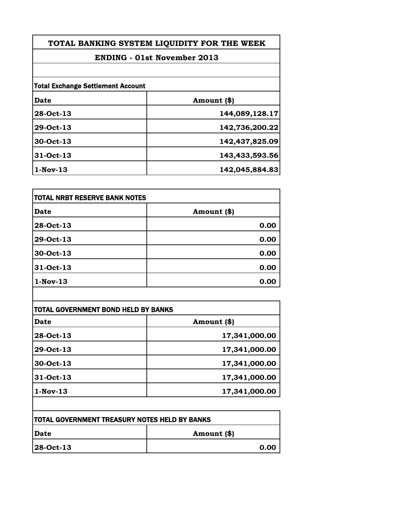**TOTAL BANKING SYSTEM LIQUIDITY FOR THE WEEK**

## **ENDING - 01st November 2013**

| <b>Total Exchange Settlement Account</b> |                |
|------------------------------------------|----------------|
| Date                                     | Amount (\$)    |
| 28-Oct-13                                | 144,089,128.17 |
| 29-Oct-13                                | 142,736,200.22 |
| 30-Oct-13                                | 142,437,825.09 |
| 31-Oct-13                                | 143,433,593.56 |
| $1-Nov-13$                               | 142,045,884.83 |

| TOTAL NRBT RESERVE BANK NOTES |             |
|-------------------------------|-------------|
| <b>Date</b>                   | Amount (\$) |
| 28-Oct-13                     | 0.00        |
| 29-Oct-13                     | 0.00        |
| 30-Oct-13                     | 0.00        |
| 31-Oct-13                     | 0.00        |
| $1-Nov-13$                    | 0.00        |

| <b>Date</b> | Amount (\$)   |
|-------------|---------------|
| 28-Oct-13   | 17,341,000.00 |
| 29-Oct-13   | 17,341,000.00 |
| 30-Oct-13   | 17,341,000.00 |
| 31-Oct-13   | 17,341,000.00 |
| $1-Nov-13$  | 17,341,000.00 |

 $\mathsf{l}$ 

| ITOTAL GOVERNMENT TREASURY NOTES HELD BY BANKS |             |
|------------------------------------------------|-------------|
| Date                                           | Amount (\$) |
| 28-Oct-13                                      | 0.00        |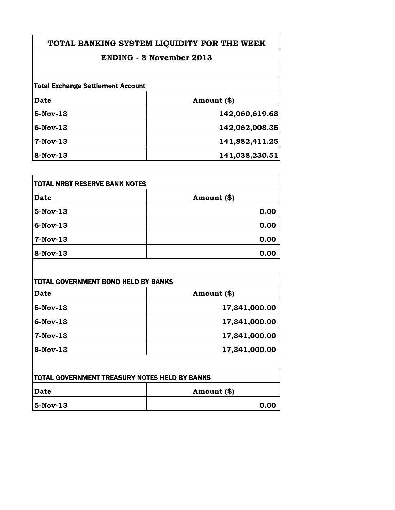## **ENDING - 8 November 2013**

| <b>Total Exchange Settlement Account</b> |                |
|------------------------------------------|----------------|
| <b>Date</b>                              | Amount (\$)    |
| $5-Nov-13$                               | 142,060,619.68 |
| $6-Nov-13$                               | 142,062,008.35 |
| 7-Nov-13                                 | 141,882,411.25 |
| 8-Nov-13                                 | 141,038,230.51 |

| <b>TOTAL NRBT RESERVE BANK NOTES</b> |             |
|--------------------------------------|-------------|
| <b>Date</b>                          | Amount (\$) |
| $5-Nov-13$                           | 0.00        |
| $6$ -Nov-13                          | 0.00        |
| 7-Nov-13                             | 0.00        |
| $8-Nov-13$                           | 0.00        |

| <b>Date</b> | Amount (\$)   |
|-------------|---------------|
| $5-Nov-13$  | 17,341,000.00 |
| $6-Nov-13$  | 17,341,000.00 |
| $7-Nov-13$  | 17,341,000.00 |
| 8-Nov-13    | 17,341,000.00 |

| <b>TOTAL GOVERNMENT TREASURY NOTES HELD BY BANKS</b> |             |
|------------------------------------------------------|-------------|
| <b>IDate</b>                                         | Amount (\$) |
| $ 5-Nov-13 $                                         | 0.00        |

 $\overline{\phantom{a}}$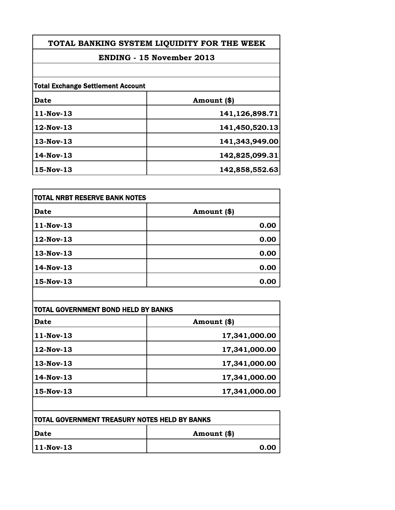**TOTAL BANKING SYSTEM LIQUIDITY FOR THE WEEK**

## **ENDING - 15 November 2013**

| <b>Total Exchange Settlement Account</b> |                |
|------------------------------------------|----------------|
| Date                                     | Amount (\$)    |
| 11-Nov-13                                | 141,126,898.71 |
| 12-Nov-13                                | 141,450,520.13 |
| $13-Nov-13$                              | 141,343,949.00 |
| $14$ -Nov-13                             | 142,825,099.31 |
| 15-Nov-13                                | 142,858,552.63 |

| <b>TOTAL NRBT RESERVE BANK NOTES</b> |             |
|--------------------------------------|-------------|
| <b>Date</b>                          | Amount (\$) |
| 11-Nov-13                            | 0.00        |
| 12-Nov-13                            | 0.00        |
| 13-Nov-13                            | 0.00        |
| 14-Nov-13                            | 0.00        |
| 15-Nov-13                            | 0.00        |

| Date         | Amount (\$)   |
|--------------|---------------|
| 11-Nov-13    | 17,341,000.00 |
| 12-Nov-13    | 17,341,000.00 |
| $13-Nov-13$  | 17,341,000.00 |
| $14$ -Nov-13 | 17,341,000.00 |
| $15-Nov-13$  | 17,341,000.00 |

 $\overline{\phantom{a}}$ 

| <b>ITOTAL GOVERNMENT TREASURY NOTES HELD BY BANKS</b> |             |
|-------------------------------------------------------|-------------|
| <b> Date</b>                                          | Amount (\$) |
| $ 11-Nov-13 $                                         | 0.00        |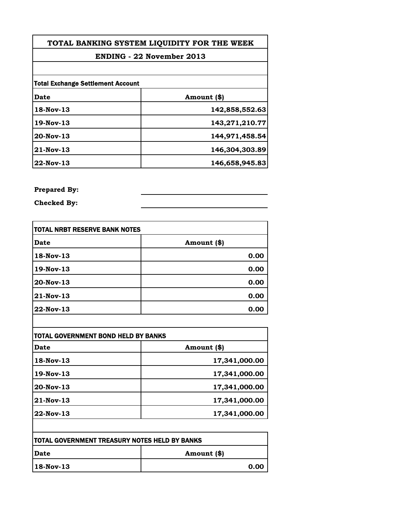| TOTAL BANKING SYSTEM LIQUIDITY FOR THE WEEK<br><b>ENDING - 22 November 2013</b> |                |  |
|---------------------------------------------------------------------------------|----------------|--|
|                                                                                 |                |  |
| <b>Total Exchange Settlement Account</b>                                        |                |  |
| Date                                                                            | Amount (\$)    |  |
| 18-Nov-13                                                                       | 142,858,552.63 |  |
| 19-Nov-13                                                                       | 143,271,210.77 |  |
| 20-Nov-13                                                                       | 144,971,458.54 |  |
| 21-Nov-13                                                                       | 146,304,303.89 |  |
| 22-Nov-13                                                                       | 146,658,945.83 |  |
|                                                                                 |                |  |

**Prepared By:**

**Checked By:**

| itotal NRBT RESERVE BANK NOTES |             |
|--------------------------------|-------------|
| Date                           | Amount (\$) |
| 18-Nov-13                      | 0.00        |
| 19-Nov-13                      | 0.00        |
| 20-Nov-13                      | 0.00        |
| 21-Nov-13                      | 0.00        |
| 22-Nov-13                      | 0.00        |

| Date      | Amount (\$)   |
|-----------|---------------|
| 18-Nov-13 | 17,341,000.00 |
| 19-Nov-13 | 17,341,000.00 |
| 20-Nov-13 | 17,341,000.00 |
| 21-Nov-13 | 17,341,000.00 |
| 22-Nov-13 | 17,341,000.00 |

| <b>TOTAL GOVERNMENT TREASURY NOTES HELD BY BANKS</b> |             |
|------------------------------------------------------|-------------|
| <b>IDate</b>                                         | Amount (\$) |
| 18-Nov-13                                            | 0.00        |